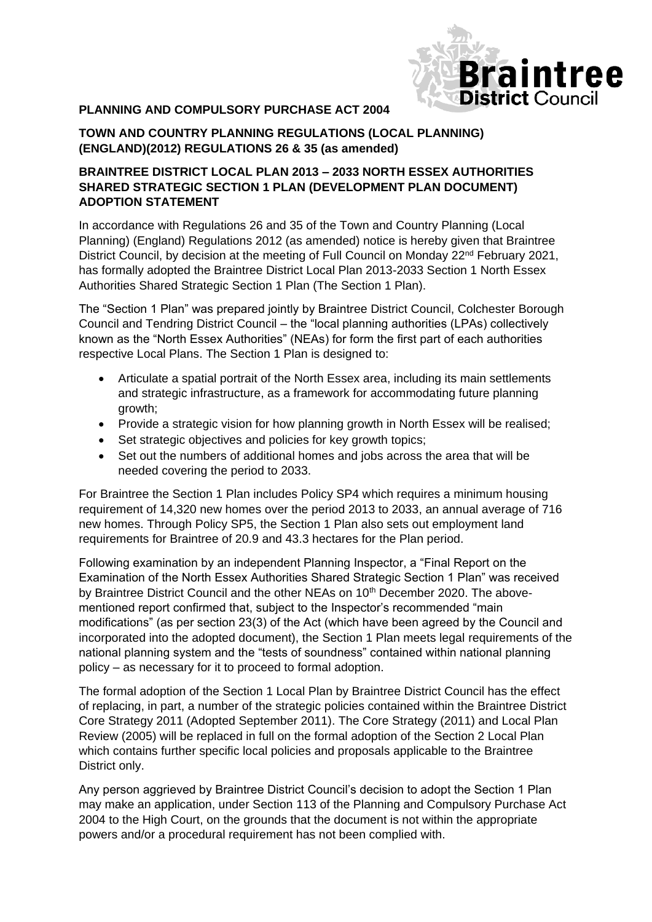

## **PLANNING AND COMPULSORY PURCHASE ACT 2004**

## **TOWN AND COUNTRY PLANNING REGULATIONS (LOCAL PLANNING) (ENGLAND)(2012) REGULATIONS 26 & 35 (as amended)**

## **BRAINTREE DISTRICT LOCAL PLAN 2013 – 2033 NORTH ESSEX AUTHORITIES SHARED STRATEGIC SECTION 1 PLAN (DEVELOPMENT PLAN DOCUMENT) ADOPTION STATEMENT**

In accordance with Regulations 26 and 35 of the Town and Country Planning (Local Planning) (England) Regulations 2012 (as amended) notice is hereby given that Braintree District Council, by decision at the meeting of Full Council on Monday 22<sup>nd</sup> February 2021, has formally adopted the Braintree District Local Plan 2013-2033 Section 1 North Essex Authorities Shared Strategic Section 1 Plan (The Section 1 Plan).

The "Section 1 Plan" was prepared jointly by Braintree District Council, Colchester Borough Council and Tendring District Council – the "local planning authorities (LPAs) collectively known as the "North Essex Authorities" (NEAs) for form the first part of each authorities respective Local Plans. The Section 1 Plan is designed to:

- Articulate a spatial portrait of the North Essex area, including its main settlements and strategic infrastructure, as a framework for accommodating future planning growth;
- Provide a strategic vision for how planning growth in North Essex will be realised;
- Set strategic objectives and policies for key growth topics;
- Set out the numbers of additional homes and jobs across the area that will be needed covering the period to 2033.

For Braintree the Section 1 Plan includes Policy SP4 which requires a minimum housing requirement of 14,320 new homes over the period 2013 to 2033, an annual average of 716 new homes. Through Policy SP5, the Section 1 Plan also sets out employment land requirements for Braintree of 20.9 and 43.3 hectares for the Plan period.

Following examination by an independent Planning Inspector, a "Final Report on the Examination of the North Essex Authorities Shared Strategic Section 1 Plan" was received by Braintree District Council and the other NEAs on 10<sup>th</sup> December 2020. The abovementioned report confirmed that, subject to the Inspector's recommended "main modifications" (as per section 23(3) of the Act (which have been agreed by the Council and incorporated into the adopted document), the Section 1 Plan meets legal requirements of the national planning system and the "tests of soundness" contained within national planning policy – as necessary for it to proceed to formal adoption.

The formal adoption of the Section 1 Local Plan by Braintree District Council has the effect of replacing, in part, a number of the strategic policies contained within the Braintree District Core Strategy 2011 (Adopted September 2011). The Core Strategy (2011) and Local Plan Review (2005) will be replaced in full on the formal adoption of the Section 2 Local Plan which contains further specific local policies and proposals applicable to the Braintree District only.

Any person aggrieved by Braintree District Council's decision to adopt the Section 1 Plan may make an application, under Section 113 of the Planning and Compulsory Purchase Act 2004 to the High Court, on the grounds that the document is not within the appropriate powers and/or a procedural requirement has not been complied with.